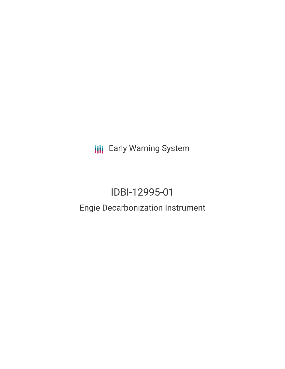**III** Early Warning System

# IDBI-12995-01

### Engie Decarbonization Instrument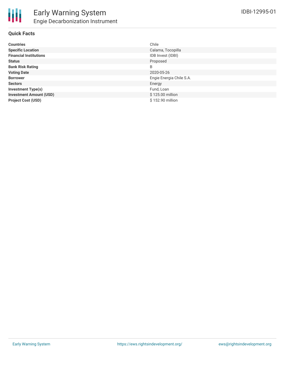

### **Quick Facts**

| <b>Countries</b>               | Chile                    |
|--------------------------------|--------------------------|
| <b>Specific Location</b>       | Calama, Tocopilla        |
| <b>Financial Institutions</b>  | IDB Invest (IDBI)        |
| <b>Status</b>                  | Proposed                 |
| <b>Bank Risk Rating</b>        | B                        |
| <b>Voting Date</b>             | 2020-05-26               |
| <b>Borrower</b>                | Engie Energia Chile S.A. |
| <b>Sectors</b>                 | Energy                   |
| <b>Investment Type(s)</b>      | Fund, Loan               |
| <b>Investment Amount (USD)</b> | \$125.00 million         |
| <b>Project Cost (USD)</b>      | \$152.90 million         |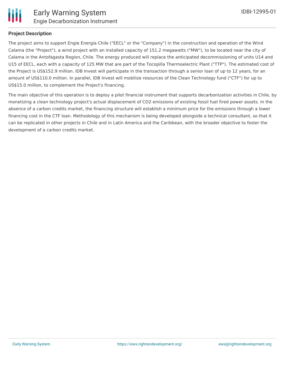

#### **Project Description**

The project aims to support Engie Energia Chile ("EECL" or the "Company") in the construction and operation of the Wind Calama (the "Project"), a wind project with an installed capacity of 151.2 megawatts ("MW"), to be located near the city of Calama in the Antofagasta Region, Chile. The energy produced will replace the anticipated decommissioning of units U14 and U15 of EECL, each with a capacity of 125 MW that are part of the Tocopilla Thermoelectric Plant ("TTP"). The estimated cost of the Project is US\$152.9 million. IDB Invest will participate in the transaction through a senior loan of up to 12 years, for an amount of US\$110.0 million. In parallel, IDB Invest will mobilize resources of the Clean Technology fund ("CTF") for up to US\$15.0 million, to complement the Project's financing.

The main objective of this operation is to deploy a pilot financial instrument that supports decarbonization activities in Chile, by monetizing a clean technology project's actual displacement of CO2 emissions of existing fossil fuel fired power assets. In the absence of a carbon credits market, the financing structure will establish a minimum price for the emissions through a lower financing cost in the CTF loan. Methodology of this mechanism is being developed alongside a technical consultant, so that it can be replicated in other projects in Chile and in Latin America and the Caribbean, with the broader objective to foster the development of a carbon credits market.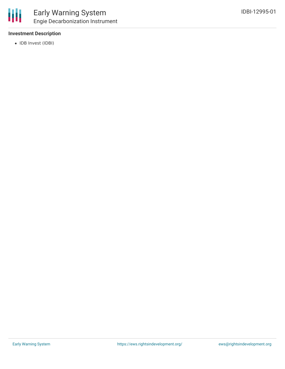#### **Investment Description**

• IDB Invest (IDBI)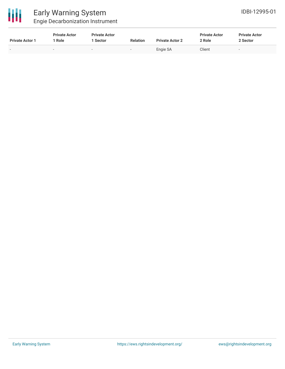

## Early Warning System

Engie Decarbonization Instrument

| <b>Private Actor 1</b> | <b>Private Actor</b><br>Role | <b>Private Actor</b><br>1 Sector | <b>Relation</b> | <b>Private Actor 2</b> | <b>Private Actor</b><br>? Role | <b>Private Actor</b><br>2 Sector |  |
|------------------------|------------------------------|----------------------------------|-----------------|------------------------|--------------------------------|----------------------------------|--|
| -                      |                              |                                  |                 | Engie SA               | Client                         | . .                              |  |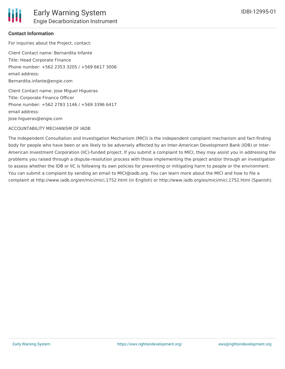

#### **Contact Information**

For inquiries about the Project, contact: Client Contact name: Bernardita Infante Title: Head Corporate Finance Phone number: +562 2353 3205 / +569 6617 3006 email address: Bernardita.infante@engie.com

Client Contact name: Jose Miguel Higueras Title: Corporate Finance Officer Phone number: +562 2783 1146 / +569 3396 6417 email address: Jose.higueras@engie.com

#### ACCOUNTABILITY MECHANISM OF IADB

The Independent Consultation and Investigation Mechanism (MICI) is the independent complaint mechanism and fact-finding body for people who have been or are likely to be adversely affected by an Inter-American Development Bank (IDB) or Inter-American Investment Corporation (IIC)-funded project. If you submit a complaint to MICI, they may assist you in addressing the problems you raised through a dispute-resolution process with those implementing the project and/or through an investigation to assess whether the IDB or IIC is following its own policies for preventing or mitigating harm to people or the environment. You can submit a complaint by sending an email to MICI@iadb.org. You can learn more about the MICI and how to file a complaint at http://www.iadb.org/en/mici/mici,1752.html (in English) or http://www.iadb.org/es/mici/mici,1752.html (Spanish).